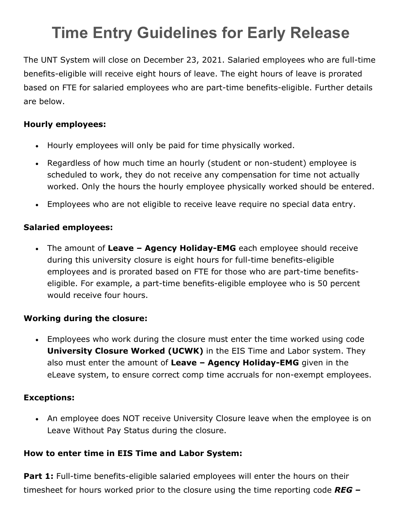# **Time Entry Guidelines for Early Release**

The UNT System will close on December 23, 2021. Salaried employees who are full-time benefits-eligible will receive eight hours of leave. The eight hours of leave is prorated based on FTE for salaried employees who are part-time benefits-eligible. Further details are below.

## **Hourly employees:**

- Hourly employees will only be paid for time physically worked.
- Regardless of how much time an hourly (student or non-student) employee is scheduled to work, they do not receive any compensation for time not actually worked. Only the hours the hourly employee physically worked should be entered.
- Employees who are not eligible to receive leave require no special data entry.

## **Salaried employees:**

• The amount of **Leave – Agency Holiday-EMG** each employee should receive during this university closure is eight hours for full-time benefits-eligible employees and is prorated based on FTE for those who are part-time benefitseligible. For example, a part-time benefits-eligible employee who is 50 percent would receive four hours.

#### **Working during the closure:**

• Employees who work during the closure must enter the time worked using code **University Closure Worked (UCWK)** in the EIS Time and Labor system. They also must enter the amount of **Leave – Agency Holiday-EMG** given in the eLeave system, to ensure correct comp time accruals for non-exempt employees.

#### **Exceptions:**

• An employee does NOT receive University Closure leave when the employee is on Leave Without Pay Status during the closure.

# **How to enter time in EIS Time and Labor System:**

**Part 1:** Full-time benefits-eligible salaried employees will enter the hours on their timesheet for hours worked prior to the closure using the time reporting code *REG –*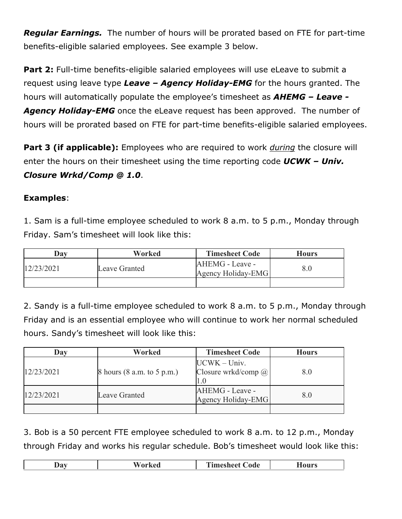*Regular Earnings.* The number of hours will be prorated based on FTE for part-time benefits-eligible salaried employees. See example 3 below.

Part 2: Full-time benefits-eligible salaried employees will use eLeave to submit a request using leave type *Leave – Agency Holiday-EMG* for the hours granted. The hours will automatically populate the employee's timesheet as *AHEMG – Leave - Agency Holiday-EMG* once the eLeave request has been approved. The number of hours will be prorated based on FTE for part-time benefits-eligible salaried employees.

**Part 3 (if applicable):** Employees who are required to work *during* the closure will enter the hours on their timesheet using the time reporting code *UCWK – Univ. Closure Wrkd/Comp @ 1.0*.

#### **Examples**:

1. Sam is a full-time employee scheduled to work 8 a.m. to 5 p.m., Monday through Friday. Sam's timesheet will look like this:

| Dav        | Worked        | <b>Timesheet Code</b>                 | <b>Hours</b> |
|------------|---------------|---------------------------------------|--------------|
| 12/23/2021 | Leave Granted | AHEMG - Leave -<br>Agency Holiday-EMG | 8.0          |
|            |               |                                       |              |

2. Sandy is a full-time employee scheduled to work 8 a.m. to 5 p.m., Monday through Friday and is an essential employee who will continue to work her normal scheduled hours. Sandy's timesheet will look like this:

| Day        | Worked                         | <b>Timesheet Code</b>                        | <b>Hours</b> |
|------------|--------------------------------|----------------------------------------------|--------------|
| 12/23/2021 | $8$ hours $(8$ a.m. to 5 p.m.) | $UCWK - Univ.$<br>Closure wrkd/comp $\omega$ | 8.0          |
| 12/23/2021 | Leave Granted                  | AHEMG - Leave -<br>Agency Holiday-EMG        | 8.0          |
|            |                                |                                              |              |

3. Bob is a 50 percent FTE employee scheduled to work 8 a.m. to 12 p.m., Monday through Friday and works his regular schedule. Bob's timesheet would look like this:

| 40.<br>$\mathbf{v}$ | nde<br>----------<br>____ | I TA 6<br>. .<br>____ |
|---------------------|---------------------------|-----------------------|
|                     |                           |                       |